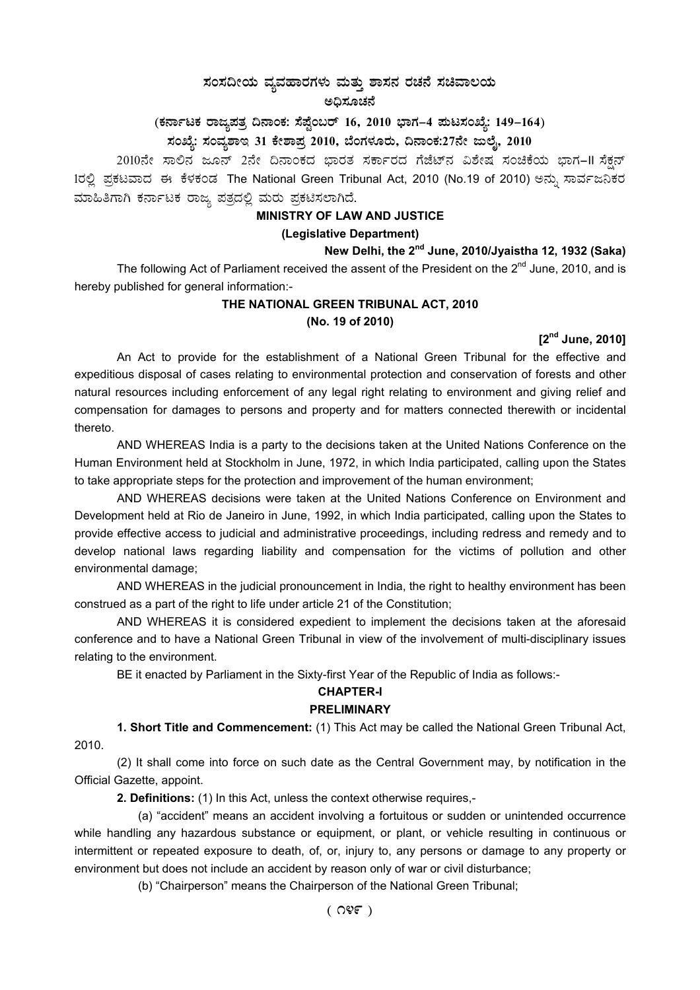# $\,$ ಸಂಸದೀಯ ವ್ಯವಹಾರಗಳು ಮತ್ತು ಶಾಸನ ರಚನೆ ಸಚಿವಾಲಯ ಅಧಿಸೂಚನೆ

(ಕರ್ನಾಟಕ ರಾಜ್ಯಪತ್ರ ದಿನಾಂಕ: ಸೆಪ್ಟೆಂಬರ್ 16, 2010 ಭಾಗ–4 **ಮಟಸಂಖ್ಯೆ: 149–164**)

**¸ÀASÉå: ¸ÀAªÀå±ÁE 31 PÉñÁ¥Àæ 2010, ¨ÉAUÀ¼ÀÆgÀÄ, ¢£ÁAPÀ:27£Éà dįÉÊ, 2010** 

2010ನೇ ಸಾಲಿನ ಜೂನ್ 2ನೇ ದಿನಾಂಕದ ಭಾರತ ಸರ್ಕಾರದ ಗೆಜೆಟ್ನ ವಿಶೇಷ ಸಂಚಿಕೆಯ ಭಾಗ–II ಸೆಕ್ಷನ್ 1ರಲ್ಲಿ ಪ್ರಕಟವಾದ ಈ ಕೆಳಕಂಡ The National Green Tribunal Act, 2010 (No.19 of 2010) ಅನ್ನು ಸಾರ್ವಜನಿಕರ ಮಾಹಿತಿಗಾಗಿ ಕರ್ನಾಟಕ ರಾಜ್ಯ ಪತ್ರದಲ್ಲಿ ಮರು ಪ್ರಕಟಿಸಲಾಗಿದೆ.

# **MINISTRY OF LAW AND JUSTICE**

# **(Legislative Department)**

**New Delhi, the 2nd June, 2010/Jyaistha 12, 1932 (Saka)** 

The following Act of Parliament received the assent of the President on the 2<sup>nd</sup> June, 2010, and is hereby published for general information:-

# **THE NATIONAL GREEN TRIBUNAL ACT, 2010 (No. 19 of 2010)**

# **[2nd June, 2010]**

An Act to provide for the establishment of a National Green Tribunal for the effective and expeditious disposal of cases relating to environmental protection and conservation of forests and other natural resources including enforcement of any legal right relating to environment and giving relief and compensation for damages to persons and property and for matters connected therewith or incidental thereto.

AND WHEREAS India is a party to the decisions taken at the United Nations Conference on the Human Environment held at Stockholm in June, 1972, in which India participated, calling upon the States to take appropriate steps for the protection and improvement of the human environment;

AND WHEREAS decisions were taken at the United Nations Conference on Environment and Development held at Rio de Janeiro in June, 1992, in which India participated, calling upon the States to provide effective access to judicial and administrative proceedings, including redress and remedy and to develop national laws regarding liability and compensation for the victims of pollution and other environmental damage;

AND WHEREAS in the judicial pronouncement in India, the right to healthy environment has been construed as a part of the right to life under article 21 of the Constitution;

AND WHEREAS it is considered expedient to implement the decisions taken at the aforesaid conference and to have a National Green Tribunal in view of the involvement of multi-disciplinary issues relating to the environment.

BE it enacted by Parliament in the Sixty-first Year of the Republic of India as follows:-

#### **CHAPTER-I**

#### **PRELIMINARY**

**1. Short Title and Commencement:** (1) This Act may be called the National Green Tribunal Act, 2010.

(2) It shall come into force on such date as the Central Government may, by notification in the Official Gazette, appoint.

**2. Definitions:** (1) In this Act, unless the context otherwise requires,-

(a) "accident" means an accident involving a fortuitous or sudden or unintended occurrence while handling any hazardous substance or equipment, or plant, or vehicle resulting in continuous or intermittent or repeated exposure to death, of, or, injury to, any persons or damage to any property or environment but does not include an accident by reason only of war or civil disturbance;

(b) "Chairperson" means the Chairperson of the National Green Tribunal;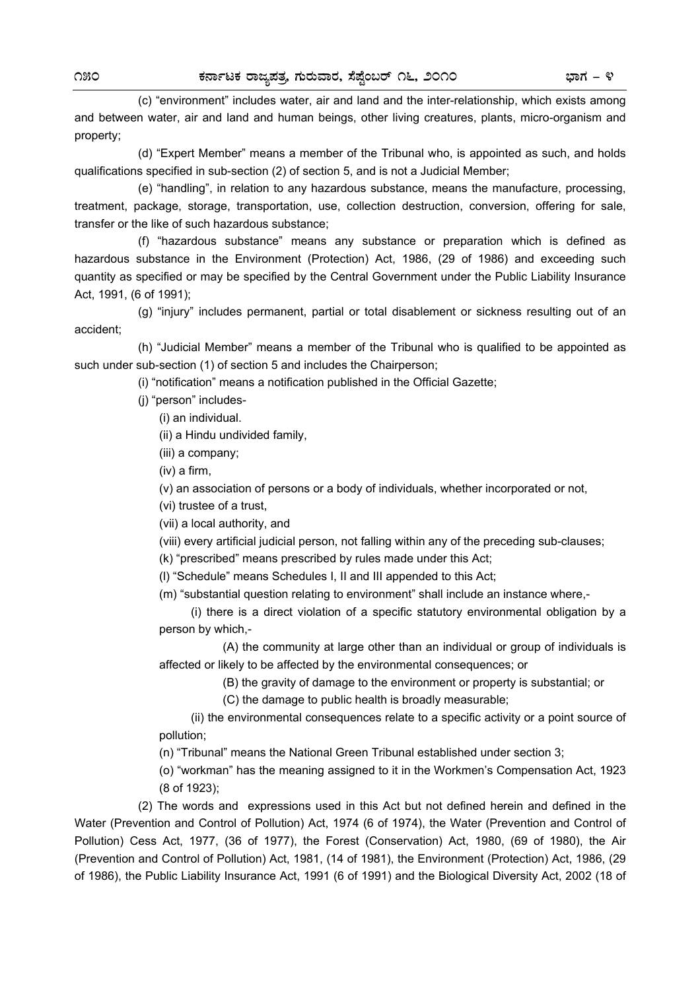(c) "environment" includes water, air and land and the inter-relationship, which exists among and between water, air and land and human beings, other living creatures, plants, micro-organism and property;

 (d) "Expert Member" means a member of the Tribunal who, is appointed as such, and holds qualifications specified in sub-section (2) of section 5, and is not a Judicial Member;

 (e) "handling", in relation to any hazardous substance, means the manufacture, processing, treatment, package, storage, transportation, use, collection destruction, conversion, offering for sale, transfer or the like of such hazardous substance;

 (f) "hazardous substance" means any substance or preparation which is defined as hazardous substance in the Environment (Protection) Act, 1986, (29 of 1986) and exceeding such quantity as specified or may be specified by the Central Government under the Public Liability Insurance Act, 1991, (6 of 1991);

 (g) "injury" includes permanent, partial or total disablement or sickness resulting out of an accident;

 (h) "Judicial Member" means a member of the Tribunal who is qualified to be appointed as such under sub-section (1) of section 5 and includes the Chairperson;

(i) "notification" means a notification published in the Official Gazette;

(j) "person" includes-

(i) an individual.

(ii) a Hindu undivided family,

(iii) a company;

(iv) a firm,

(v) an association of persons or a body of individuals, whether incorporated or not,

(vi) trustee of a trust,

(vii) a local authority, and

(viii) every artificial judicial person, not falling within any of the preceding sub-clauses;

(k) "prescribed" means prescribed by rules made under this Act;

(l) "Schedule" means Schedules I, II and III appended to this Act;

(m) "substantial question relating to environment" shall include an instance where,-

(i) there is a direct violation of a specific statutory environmental obligation by a person by which,-

 (A) the community at large other than an individual or group of individuals is affected or likely to be affected by the environmental consequences; or

(B) the gravity of damage to the environment or property is substantial; or

(C) the damage to public health is broadly measurable;

 (ii) the environmental consequences relate to a specific activity or a point source of pollution;

(n) "Tribunal" means the National Green Tribunal established under section 3;

(o) "workman" has the meaning assigned to it in the Workmen's Compensation Act, 1923 (8 of 1923);

 (2) The words and expressions used in this Act but not defined herein and defined in the Water (Prevention and Control of Pollution) Act, 1974 (6 of 1974), the Water (Prevention and Control of Pollution) Cess Act, 1977, (36 of 1977), the Forest (Conservation) Act, 1980, (69 of 1980), the Air (Prevention and Control of Pollution) Act, 1981, (14 of 1981), the Environment (Protection) Act, 1986, (29 of 1986), the Public Liability Insurance Act, 1991 (6 of 1991) and the Biological Diversity Act, 2002 (18 of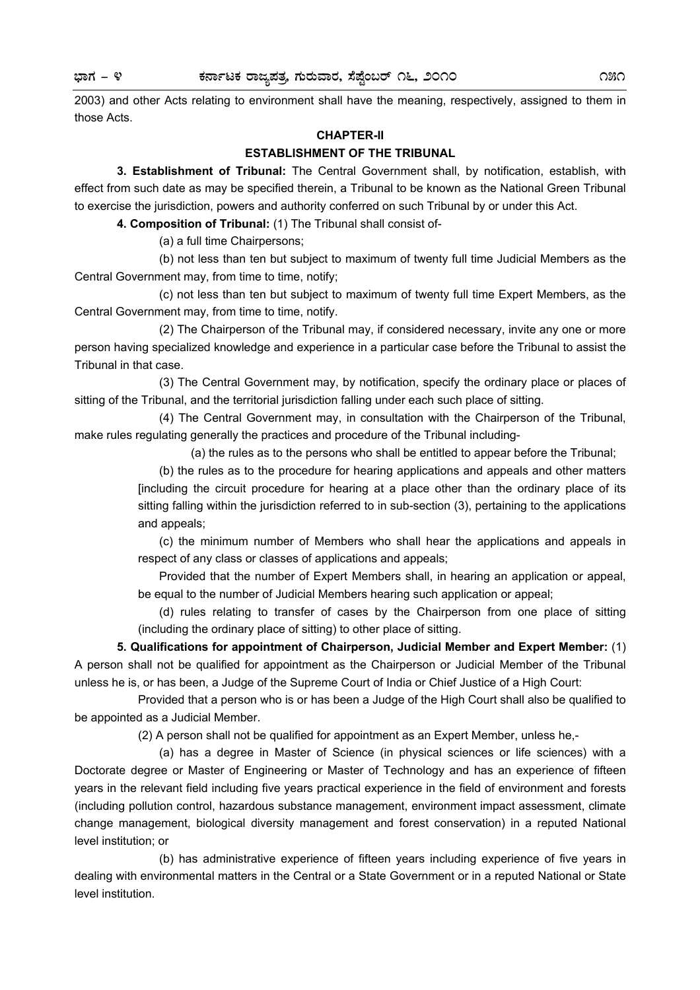2003) and other Acts relating to environment shall have the meaning, respectively, assigned to them in those Acts.

## **CHAPTER-II**

# **ESTABLISHMENT OF THE TRIBUNAL**

 **3. Establishment of Tribunal:** The Central Government shall, by notification, establish, with effect from such date as may be specified therein, a Tribunal to be known as the National Green Tribunal to exercise the jurisdiction, powers and authority conferred on such Tribunal by or under this Act.

**4. Composition of Tribunal:** (1) The Tribunal shall consist of-

(a) a full time Chairpersons;

 (b) not less than ten but subject to maximum of twenty full time Judicial Members as the Central Government may, from time to time, notify;

 (c) not less than ten but subject to maximum of twenty full time Expert Members, as the Central Government may, from time to time, notify.

 (2) The Chairperson of the Tribunal may, if considered necessary, invite any one or more person having specialized knowledge and experience in a particular case before the Tribunal to assist the Tribunal in that case.

 (3) The Central Government may, by notification, specify the ordinary place or places of sitting of the Tribunal, and the territorial jurisdiction falling under each such place of sitting.

 (4) The Central Government may, in consultation with the Chairperson of the Tribunal, make rules regulating generally the practices and procedure of the Tribunal including-

(a) the rules as to the persons who shall be entitled to appear before the Tribunal;

 (b) the rules as to the procedure for hearing applications and appeals and other matters [including the circuit procedure for hearing at a place other than the ordinary place of its sitting falling within the jurisdiction referred to in sub-section (3), pertaining to the applications and appeals;

 (c) the minimum number of Members who shall hear the applications and appeals in respect of any class or classes of applications and appeals;

 Provided that the number of Expert Members shall, in hearing an application or appeal, be equal to the number of Judicial Members hearing such application or appeal;

 (d) rules relating to transfer of cases by the Chairperson from one place of sitting (including the ordinary place of sitting) to other place of sitting.

**5. Qualifications for appointment of Chairperson, Judicial Member and Expert Member:** (1) A person shall not be qualified for appointment as the Chairperson or Judicial Member of the Tribunal unless he is, or has been, a Judge of the Supreme Court of India or Chief Justice of a High Court:

Provided that a person who is or has been a Judge of the High Court shall also be qualified to be appointed as a Judicial Member.

(2) A person shall not be qualified for appointment as an Expert Member, unless he,-

 (a) has a degree in Master of Science (in physical sciences or life sciences) with a Doctorate degree or Master of Engineering or Master of Technology and has an experience of fifteen years in the relevant field including five years practical experience in the field of environment and forests (including pollution control, hazardous substance management, environment impact assessment, climate change management, biological diversity management and forest conservation) in a reputed National level institution; or

 (b) has administrative experience of fifteen years including experience of five years in dealing with environmental matters in the Central or a State Government or in a reputed National or State level institution.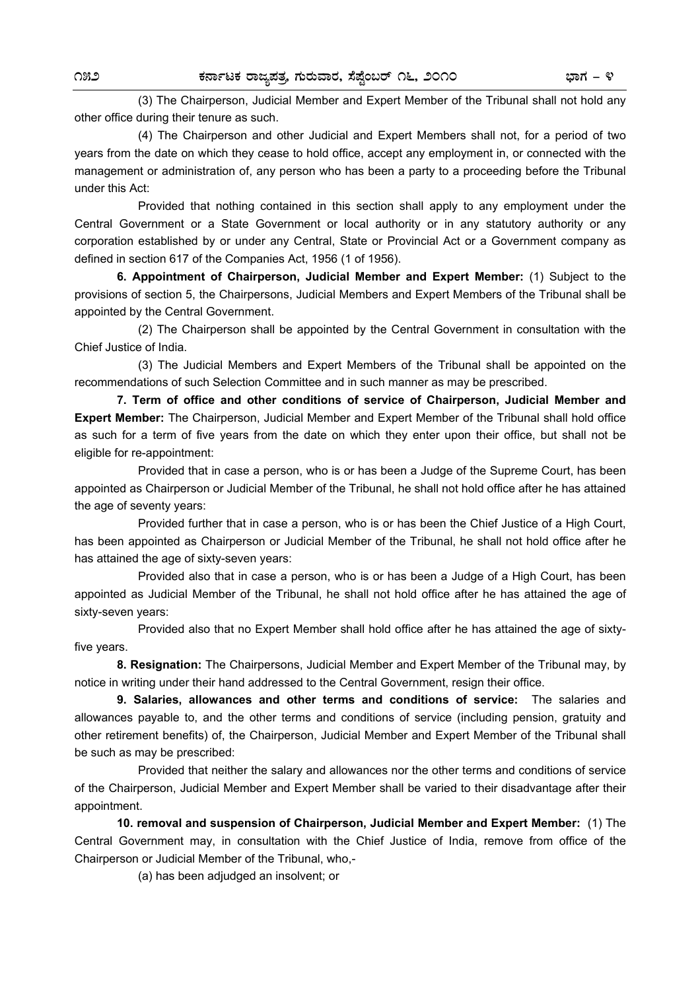(3) The Chairperson, Judicial Member and Expert Member of the Tribunal shall not hold any other office during their tenure as such.

 (4) The Chairperson and other Judicial and Expert Members shall not, for a period of two years from the date on which they cease to hold office, accept any employment in, or connected with the management or administration of, any person who has been a party to a proceeding before the Tribunal under this Act:

 Provided that nothing contained in this section shall apply to any employment under the Central Government or a State Government or local authority or in any statutory authority or any corporation established by or under any Central, State or Provincial Act or a Government company as defined in section 617 of the Companies Act, 1956 (1 of 1956).

**6. Appointment of Chairperson, Judicial Member and Expert Member:** (1) Subject to the provisions of section 5, the Chairpersons, Judicial Members and Expert Members of the Tribunal shall be appointed by the Central Government.

(2) The Chairperson shall be appointed by the Central Government in consultation with the Chief Justice of India.

 (3) The Judicial Members and Expert Members of the Tribunal shall be appointed on the recommendations of such Selection Committee and in such manner as may be prescribed.

**7. Term of office and other conditions of service of Chairperson, Judicial Member and Expert Member:** The Chairperson, Judicial Member and Expert Member of the Tribunal shall hold office as such for a term of five years from the date on which they enter upon their office, but shall not be eligible for re-appointment:

Provided that in case a person, who is or has been a Judge of the Supreme Court, has been appointed as Chairperson or Judicial Member of the Tribunal, he shall not hold office after he has attained the age of seventy years:

Provided further that in case a person, who is or has been the Chief Justice of a High Court, has been appointed as Chairperson or Judicial Member of the Tribunal, he shall not hold office after he has attained the age of sixty-seven years:

Provided also that in case a person, who is or has been a Judge of a High Court, has been appointed as Judicial Member of the Tribunal, he shall not hold office after he has attained the age of sixty-seven years:

Provided also that no Expert Member shall hold office after he has attained the age of sixtyfive years.

**8. Resignation:** The Chairpersons, Judicial Member and Expert Member of the Tribunal may, by notice in writing under their hand addressed to the Central Government, resign their office.

**9. Salaries, allowances and other terms and conditions of service:** The salaries and allowances payable to, and the other terms and conditions of service (including pension, gratuity and other retirement benefits) of, the Chairperson, Judicial Member and Expert Member of the Tribunal shall be such as may be prescribed:

Provided that neither the salary and allowances nor the other terms and conditions of service of the Chairperson, Judicial Member and Expert Member shall be varied to their disadvantage after their appointment.

**10. removal and suspension of Chairperson, Judicial Member and Expert Member:** (1) The Central Government may, in consultation with the Chief Justice of India, remove from office of the Chairperson or Judicial Member of the Tribunal, who,-

(a) has been adjudged an insolvent; or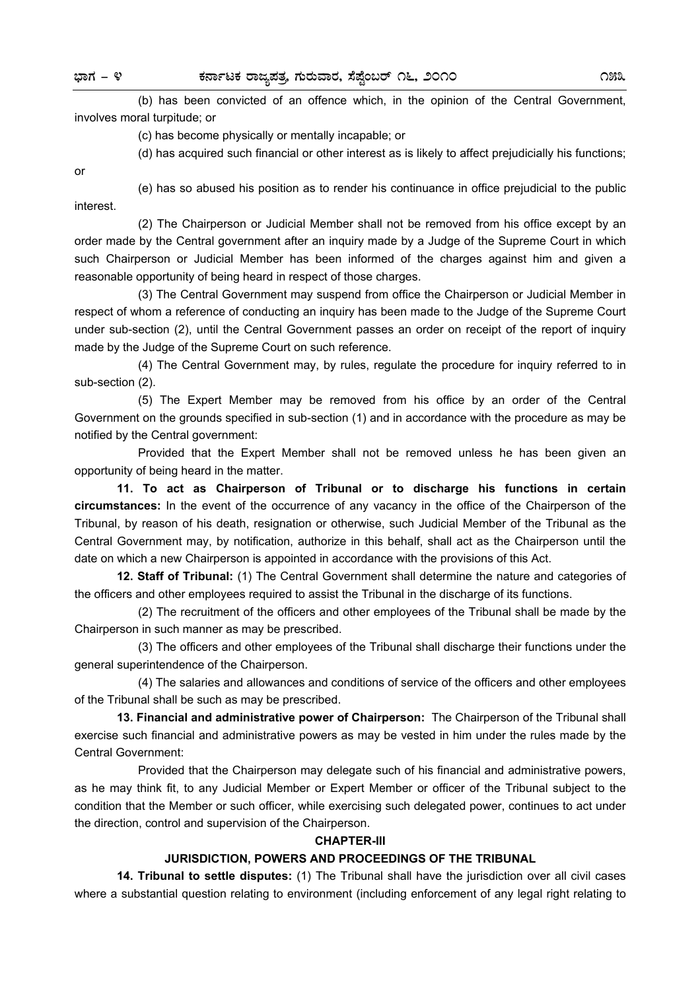(b) has been convicted of an offence which, in the opinion of the Central Government, involves moral turpitude; or

(c) has become physically or mentally incapable; or

(d) has acquired such financial or other interest as is likely to affect prejudicially his functions;

or

(e) has so abused his position as to render his continuance in office prejudicial to the public interest.

 (2) The Chairperson or Judicial Member shall not be removed from his office except by an order made by the Central government after an inquiry made by a Judge of the Supreme Court in which such Chairperson or Judicial Member has been informed of the charges against him and given a reasonable opportunity of being heard in respect of those charges.

(3) The Central Government may suspend from office the Chairperson or Judicial Member in respect of whom a reference of conducting an inquiry has been made to the Judge of the Supreme Court under sub-section (2), until the Central Government passes an order on receipt of the report of inquiry made by the Judge of the Supreme Court on such reference.

(4) The Central Government may, by rules, regulate the procedure for inquiry referred to in sub-section (2).

 (5) The Expert Member may be removed from his office by an order of the Central Government on the grounds specified in sub-section (1) and in accordance with the procedure as may be notified by the Central government:

 Provided that the Expert Member shall not be removed unless he has been given an opportunity of being heard in the matter.

**11. To act as Chairperson of Tribunal or to discharge his functions in certain circumstances:** In the event of the occurrence of any vacancy in the office of the Chairperson of the Tribunal, by reason of his death, resignation or otherwise, such Judicial Member of the Tribunal as the Central Government may, by notification, authorize in this behalf, shall act as the Chairperson until the date on which a new Chairperson is appointed in accordance with the provisions of this Act.

**12. Staff of Tribunal:** (1) The Central Government shall determine the nature and categories of the officers and other employees required to assist the Tribunal in the discharge of its functions.

(2) The recruitment of the officers and other employees of the Tribunal shall be made by the Chairperson in such manner as may be prescribed.

(3) The officers and other employees of the Tribunal shall discharge their functions under the general superintendence of the Chairperson.

(4) The salaries and allowances and conditions of service of the officers and other employees of the Tribunal shall be such as may be prescribed.

**13. Financial and administrative power of Chairperson:** The Chairperson of the Tribunal shall exercise such financial and administrative powers as may be vested in him under the rules made by the Central Government:

Provided that the Chairperson may delegate such of his financial and administrative powers, as he may think fit, to any Judicial Member or Expert Member or officer of the Tribunal subject to the condition that the Member or such officer, while exercising such delegated power, continues to act under the direction, control and supervision of the Chairperson.

## **CHAPTER-III**

#### **JURISDICTION, POWERS AND PROCEEDINGS OF THE TRIBUNAL**

 **14. Tribunal to settle disputes:** (1) The Tribunal shall have the jurisdiction over all civil cases where a substantial question relating to environment (including enforcement of any legal right relating to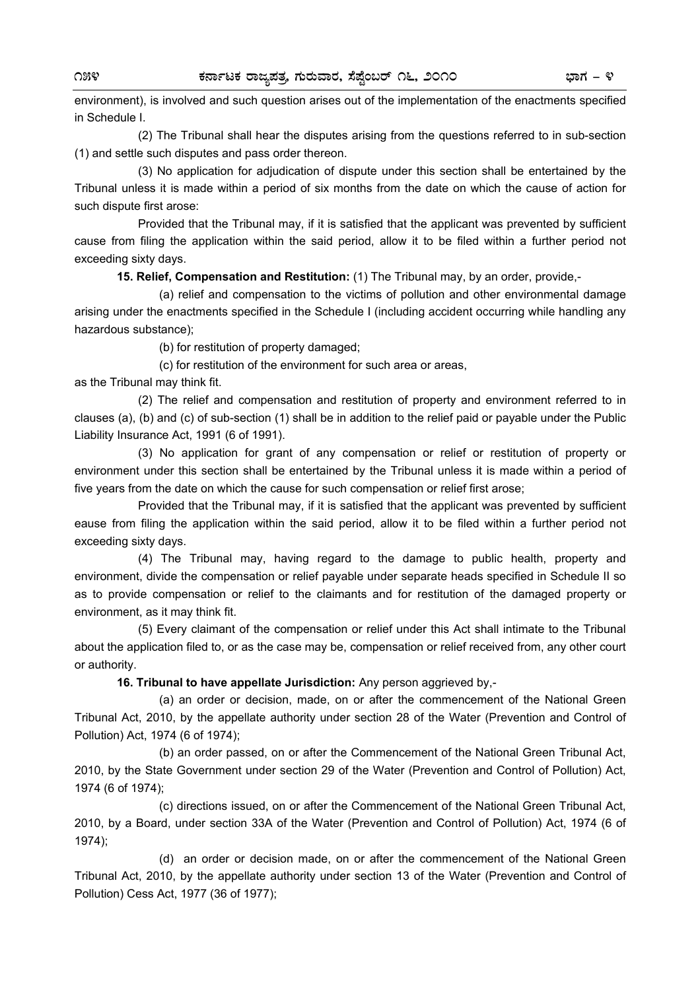environment), is involved and such question arises out of the implementation of the enactments specified in Schedule I.

(2) The Tribunal shall hear the disputes arising from the questions referred to in sub-section (1) and settle such disputes and pass order thereon.

 (3) No application for adjudication of dispute under this section shall be entertained by the Tribunal unless it is made within a period of six months from the date on which the cause of action for such dispute first arose:

Provided that the Tribunal may, if it is satisfied that the applicant was prevented by sufficient cause from filing the application within the said period, allow it to be filed within a further period not exceeding sixty days.

**15. Relief, Compensation and Restitution:** (1) The Tribunal may, by an order, provide,-

 (a) relief and compensation to the victims of pollution and other environmental damage arising under the enactments specified in the Schedule I (including accident occurring while handling any hazardous substance);

(b) for restitution of property damaged;

(c) for restitution of the environment for such area or areas,

as the Tribunal may think fit.

 (2) The relief and compensation and restitution of property and environment referred to in clauses (a), (b) and (c) of sub-section (1) shall be in addition to the relief paid or payable under the Public Liability Insurance Act, 1991 (6 of 1991).

 (3) No application for grant of any compensation or relief or restitution of property or environment under this section shall be entertained by the Tribunal unless it is made within a period of five years from the date on which the cause for such compensation or relief first arose;

Provided that the Tribunal may, if it is satisfied that the applicant was prevented by sufficient eause from filing the application within the said period, allow it to be filed within a further period not exceeding sixty days.

 (4) The Tribunal may, having regard to the damage to public health, property and environment, divide the compensation or relief payable under separate heads specified in Schedule II so as to provide compensation or relief to the claimants and for restitution of the damaged property or environment, as it may think fit.

(5) Every claimant of the compensation or relief under this Act shall intimate to the Tribunal about the application filed to, or as the case may be, compensation or relief received from, any other court or authority.

**16. Tribunal to have appellate Jurisdiction:** Any person aggrieved by,-

 (a) an order or decision, made, on or after the commencement of the National Green Tribunal Act, 2010, by the appellate authority under section 28 of the Water (Prevention and Control of Pollution) Act, 1974 (6 of 1974);

 (b) an order passed, on or after the Commencement of the National Green Tribunal Act, 2010, by the State Government under section 29 of the Water (Prevention and Control of Pollution) Act, 1974 (6 of 1974);

 (c) directions issued, on or after the Commencement of the National Green Tribunal Act, 2010, by a Board, under section 33A of the Water (Prevention and Control of Pollution) Act, 1974 (6 of 1974);

 (d) an order or decision made, on or after the commencement of the National Green Tribunal Act, 2010, by the appellate authority under section 13 of the Water (Prevention and Control of Pollution) Cess Act, 1977 (36 of 1977);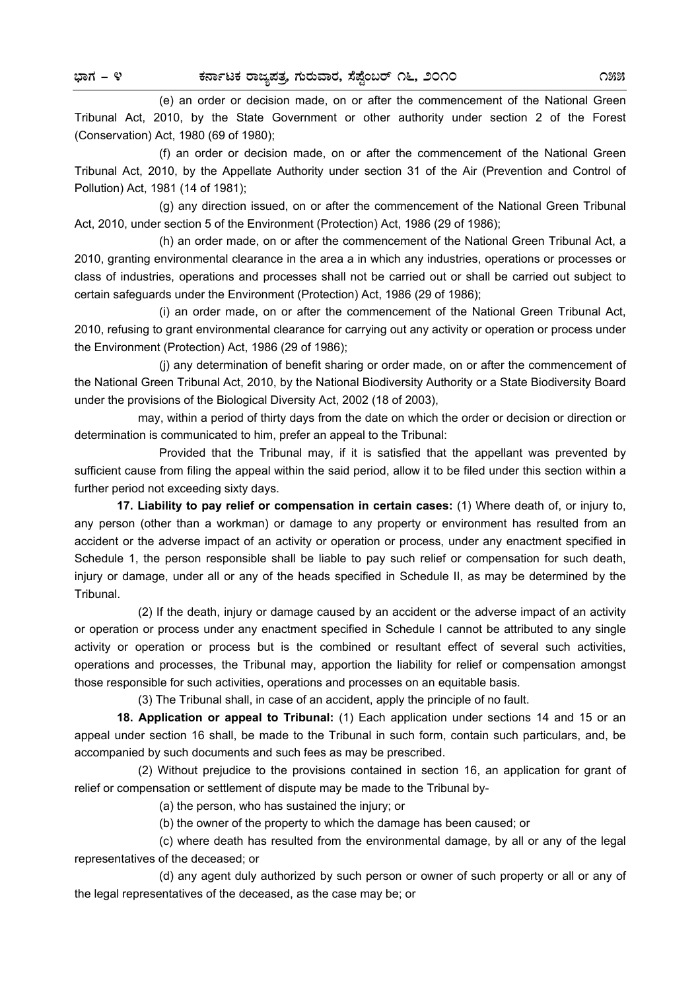(e) an order or decision made, on or after the commencement of the National Green Tribunal Act, 2010, by the State Government or other authority under section 2 of the Forest (Conservation) Act, 1980 (69 of 1980);

 (f) an order or decision made, on or after the commencement of the National Green Tribunal Act, 2010, by the Appellate Authority under section 31 of the Air (Prevention and Control of Pollution) Act, 1981 (14 of 1981);

 (g) any direction issued, on or after the commencement of the National Green Tribunal Act, 2010, under section 5 of the Environment (Protection) Act, 1986 (29 of 1986);

 (h) an order made, on or after the commencement of the National Green Tribunal Act, a 2010, granting environmental clearance in the area a in which any industries, operations or processes or class of industries, operations and processes shall not be carried out or shall be carried out subject to certain safeguards under the Environment (Protection) Act, 1986 (29 of 1986);

 (i) an order made, on or after the commencement of the National Green Tribunal Act, 2010, refusing to grant environmental clearance for carrying out any activity or operation or process under the Environment (Protection) Act, 1986 (29 of 1986);

 (j) any determination of benefit sharing or order made, on or after the commencement of the National Green Tribunal Act, 2010, by the National Biodiversity Authority or a State Biodiversity Board under the provisions of the Biological Diversity Act, 2002 (18 of 2003),

may, within a period of thirty days from the date on which the order or decision or direction or determination is communicated to him, prefer an appeal to the Tribunal:

 Provided that the Tribunal may, if it is satisfied that the appellant was prevented by sufficient cause from filing the appeal within the said period, allow it to be filed under this section within a further period not exceeding sixty days.

**17. Liability to pay relief or compensation in certain cases:** (1) Where death of, or injury to, any person (other than a workman) or damage to any property or environment has resulted from an accident or the adverse impact of an activity or operation or process, under any enactment specified in Schedule 1, the person responsible shall be liable to pay such relief or compensation for such death, injury or damage, under all or any of the heads specified in Schedule II, as may be determined by the Tribunal.

(2) If the death, injury or damage caused by an accident or the adverse impact of an activity or operation or process under any enactment specified in Schedule I cannot be attributed to any single activity or operation or process but is the combined or resultant effect of several such activities, operations and processes, the Tribunal may, apportion the liability for relief or compensation amongst those responsible for such activities, operations and processes on an equitable basis.

(3) The Tribunal shall, in case of an accident, apply the principle of no fault.

**18. Application or appeal to Tribunal:** (1) Each application under sections 14 and 15 or an appeal under section 16 shall, be made to the Tribunal in such form, contain such particulars, and, be accompanied by such documents and such fees as may be prescribed.

 (2) Without prejudice to the provisions contained in section 16, an application for grant of relief or compensation or settlement of dispute may be made to the Tribunal by-

(a) the person, who has sustained the injury; or

(b) the owner of the property to which the damage has been caused; or

 (c) where death has resulted from the environmental damage, by all or any of the legal representatives of the deceased; or

 (d) any agent duly authorized by such person or owner of such property or all or any of the legal representatives of the deceased, as the case may be; or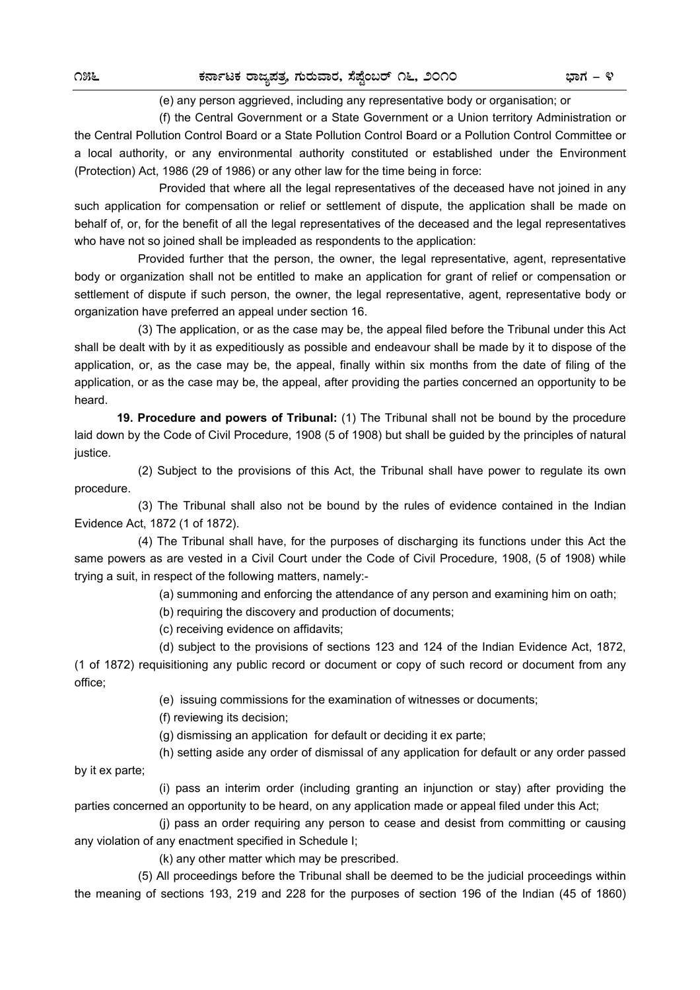#### (e) any person aggrieved, including any representative body or organisation; or

 (f) the Central Government or a State Government or a Union territory Administration or the Central Pollution Control Board or a State Pollution Control Board or a Pollution Control Committee or a local authority, or any environmental authority constituted or established under the Environment (Protection) Act, 1986 (29 of 1986) or any other law for the time being in force:

 Provided that where all the legal representatives of the deceased have not joined in any such application for compensation or relief or settlement of dispute, the application shall be made on behalf of, or, for the benefit of all the legal representatives of the deceased and the legal representatives who have not so joined shall be impleaded as respondents to the application:

 Provided further that the person, the owner, the legal representative, agent, representative body or organization shall not be entitled to make an application for grant of relief or compensation or settlement of dispute if such person, the owner, the legal representative, agent, representative body or organization have preferred an appeal under section 16.

(3) The application, or as the case may be, the appeal filed before the Tribunal under this Act shall be dealt with by it as expeditiously as possible and endeavour shall be made by it to dispose of the application, or, as the case may be, the appeal, finally within six months from the date of filing of the application, or as the case may be, the appeal, after providing the parties concerned an opportunity to be heard.

**19. Procedure and powers of Tribunal:** (1) The Tribunal shall not be bound by the procedure laid down by the Code of Civil Procedure, 1908 (5 of 1908) but shall be guided by the principles of natural justice.

 (2) Subject to the provisions of this Act, the Tribunal shall have power to regulate its own procedure.

 (3) The Tribunal shall also not be bound by the rules of evidence contained in the Indian Evidence Act, 1872 (1 of 1872).

(4) The Tribunal shall have, for the purposes of discharging its functions under this Act the same powers as are vested in a Civil Court under the Code of Civil Procedure, 1908, (5 of 1908) while trying a suit, in respect of the following matters, namely:-

(a) summoning and enforcing the attendance of any person and examining him on oath;

(b) requiring the discovery and production of documents;

(c) receiving evidence on affidavits;

 (d) subject to the provisions of sections 123 and 124 of the Indian Evidence Act, 1872, (1 of 1872) requisitioning any public record or document or copy of such record or document from any office;

(e) issuing commissions for the examination of witnesses or documents;

(f) reviewing its decision;

(g) dismissing an application for default or deciding it ex parte;

 (h) setting aside any order of dismissal of any application for default or any order passed by it ex parte;

 (i) pass an interim order (including granting an injunction or stay) after providing the parties concerned an opportunity to be heard, on any application made or appeal filed under this Act;

 (j) pass an order requiring any person to cease and desist from committing or causing any violation of any enactment specified in Schedule I;

(k) any other matter which may be prescribed.

(5) All proceedings before the Tribunal shall be deemed to be the judicial proceedings within the meaning of sections 193, 219 and 228 for the purposes of section 196 of the Indian (45 of 1860)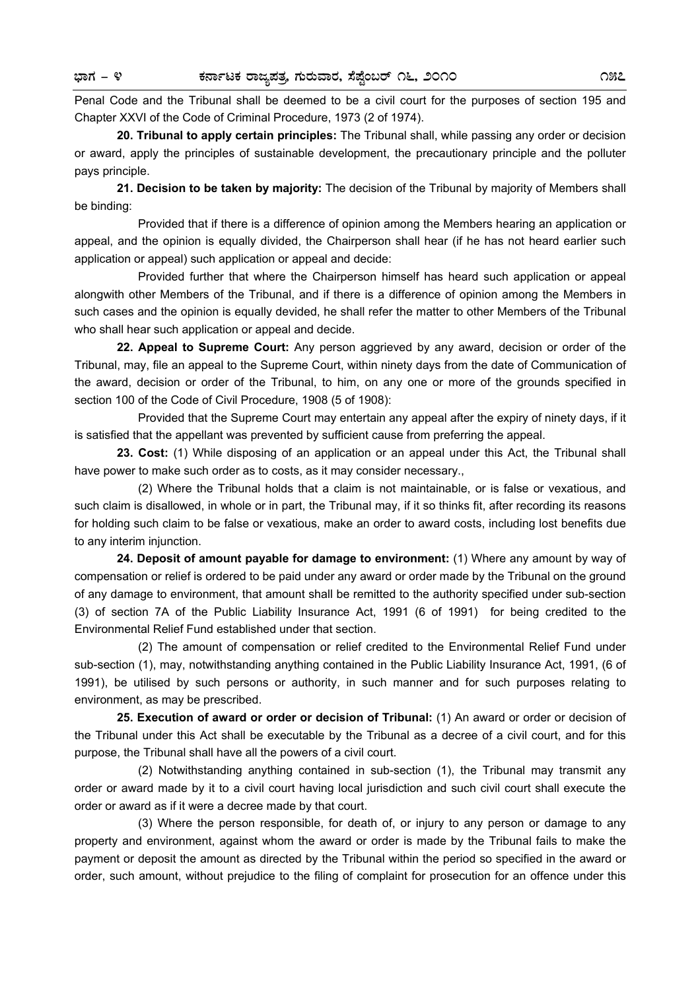Penal Code and the Tribunal shall be deemed to be a civil court for the purposes of section 195 and Chapter XXVI of the Code of Criminal Procedure, 1973 (2 of 1974).

**20. Tribunal to apply certain principles:** The Tribunal shall, while passing any order or decision or award, apply the principles of sustainable development, the precautionary principle and the polluter pays principle.

**21. Decision to be taken by majority:** The decision of the Tribunal by majority of Members shall be binding:

Provided that if there is a difference of opinion among the Members hearing an application or appeal, and the opinion is equally divided, the Chairperson shall hear (if he has not heard earlier such application or appeal) such application or appeal and decide:

 Provided further that where the Chairperson himself has heard such application or appeal alongwith other Members of the Tribunal, and if there is a difference of opinion among the Members in such cases and the opinion is equally devided, he shall refer the matter to other Members of the Tribunal who shall hear such application or appeal and decide.

**22. Appeal to Supreme Court:** Any person aggrieved by any award, decision or order of the Tribunal, may, file an appeal to the Supreme Court, within ninety days from the date of Communication of the award, decision or order of the Tribunal, to him, on any one or more of the grounds specified in section 100 of the Code of Civil Procedure, 1908 (5 of 1908):

Provided that the Supreme Court may entertain any appeal after the expiry of ninety days, if it is satisfied that the appellant was prevented by sufficient cause from preferring the appeal.

**23. Cost:** (1) While disposing of an application or an appeal under this Act, the Tribunal shall have power to make such order as to costs, as it may consider necessary.,

 (2) Where the Tribunal holds that a claim is not maintainable, or is false or vexatious, and such claim is disallowed, in whole or in part, the Tribunal may, if it so thinks fit, after recording its reasons for holding such claim to be false or vexatious, make an order to award costs, including lost benefits due to any interim injunction.

**24. Deposit of amount payable for damage to environment:** (1) Where any amount by way of compensation or relief is ordered to be paid under any award or order made by the Tribunal on the ground of any damage to environment, that amount shall be remitted to the authority specified under sub-section (3) of section 7A of the Public Liability Insurance Act, 1991 (6 of 1991) for being credited to the Environmental Relief Fund established under that section.

 (2) The amount of compensation or relief credited to the Environmental Relief Fund under sub-section (1), may, notwithstanding anything contained in the Public Liability Insurance Act, 1991, (6 of 1991), be utilised by such persons or authority, in such manner and for such purposes relating to environment, as may be prescribed.

**25. Execution of award or order or decision of Tribunal:** (1) An award or order or decision of the Tribunal under this Act shall be executable by the Tribunal as a decree of a civil court, and for this purpose, the Tribunal shall have all the powers of a civil court.

 (2) Notwithstanding anything contained in sub-section (1), the Tribunal may transmit any order or award made by it to a civil court having local jurisdiction and such civil court shall execute the order or award as if it were a decree made by that court.

 (3) Where the person responsible, for death of, or injury to any person or damage to any property and environment, against whom the award or order is made by the Tribunal fails to make the payment or deposit the amount as directed by the Tribunal within the period so specified in the award or order, such amount, without prejudice to the filing of complaint for prosecution for an offence under this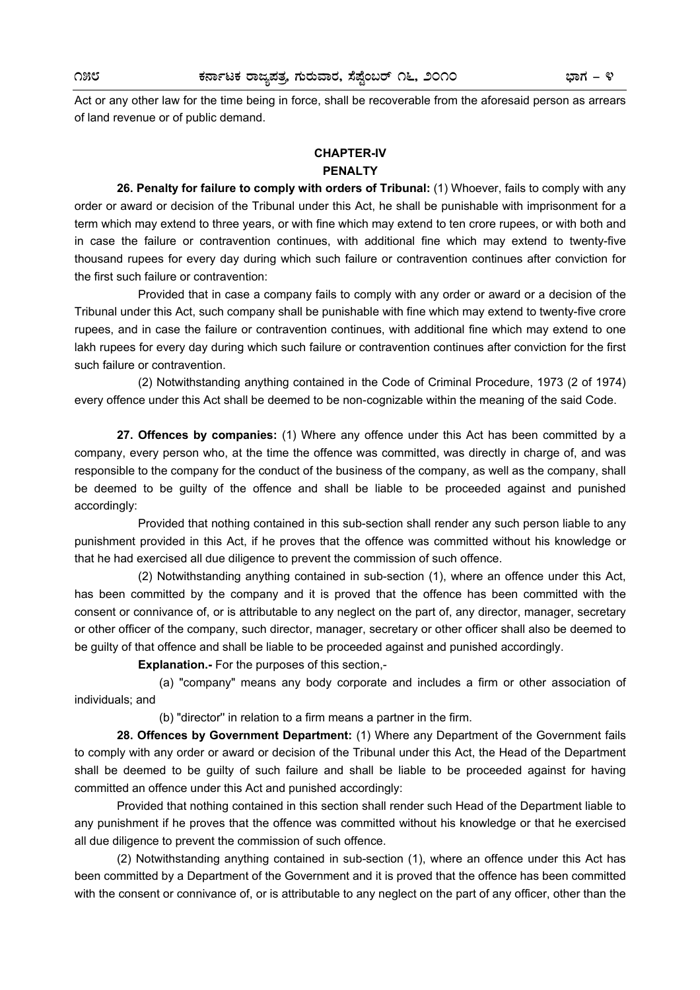Act or any other law for the time being in force, shall be recoverable from the aforesaid person as arrears of land revenue or of public demand.

## **CHAPTER-IV PENALTY**

 **26. Penalty for failure to comply with orders of Tribunal:** (1) Whoever, fails to comply with any order or award or decision of the Tribunal under this Act, he shall be punishable with imprisonment for a term which may extend to three years, or with fine which may extend to ten crore rupees, or with both and in case the failure or contravention continues, with additional fine which may extend to twenty-five thousand rupees for every day during which such failure or contravention continues after conviction for the first such failure or contravention:

Provided that in case a company fails to comply with any order or award or a decision of the Tribunal under this Act, such company shall be punishable with fine which may extend to twenty-five crore rupees, and in case the failure or contravention continues, with additional fine which may extend to one lakh rupees for every day during which such failure or contravention continues after conviction for the first such failure or contravention.

(2) Notwithstanding anything contained in the Code of Criminal Procedure, 1973 (2 of 1974) every offence under this Act shall be deemed to be non-cognizable within the meaning of the said Code.

**27. Offences by companies:** (1) Where any offence under this Act has been committed by a company, every person who, at the time the offence was committed, was directly in charge of, and was responsible to the company for the conduct of the business of the company, as well as the company, shall be deemed to be guilty of the offence and shall be liable to be proceeded against and punished accordingly:

Provided that nothing contained in this sub-section shall render any such person liable to any punishment provided in this Act, if he proves that the offence was committed without his knowledge or that he had exercised all due diligence to prevent the commission of such offence.

(2) Notwithstanding anything contained in sub-section (1), where an offence under this Act, has been committed by the company and it is proved that the offence has been committed with the consent or connivance of, or is attributable to any neglect on the part of, any director, manager, secretary or other officer of the company, such director, manager, secretary or other officer shall also be deemed to be guilty of that offence and shall be liable to be proceeded against and punished accordingly.

**Explanation.-** For the purposes of this section,-

 (a) "company" means any body corporate and includes a firm or other association of individuals; and

(b) "director'' in relation to a firm means a partner in the firm.

**28. Offences by Government Department:** (1) Where any Department of the Government fails to comply with any order or award or decision of the Tribunal under this Act, the Head of the Department shall be deemed to be guilty of such failure and shall be liable to be proceeded against for having committed an offence under this Act and punished accordingly:

 Provided that nothing contained in this section shall render such Head of the Department liable to any punishment if he proves that the offence was committed without his knowledge or that he exercised all due diligence to prevent the commission of such offence.

 (2) Notwithstanding anything contained in sub-section (1), where an offence under this Act has been committed by a Department of the Government and it is proved that the offence has been committed with the consent or connivance of, or is attributable to any neglect on the part of any officer, other than the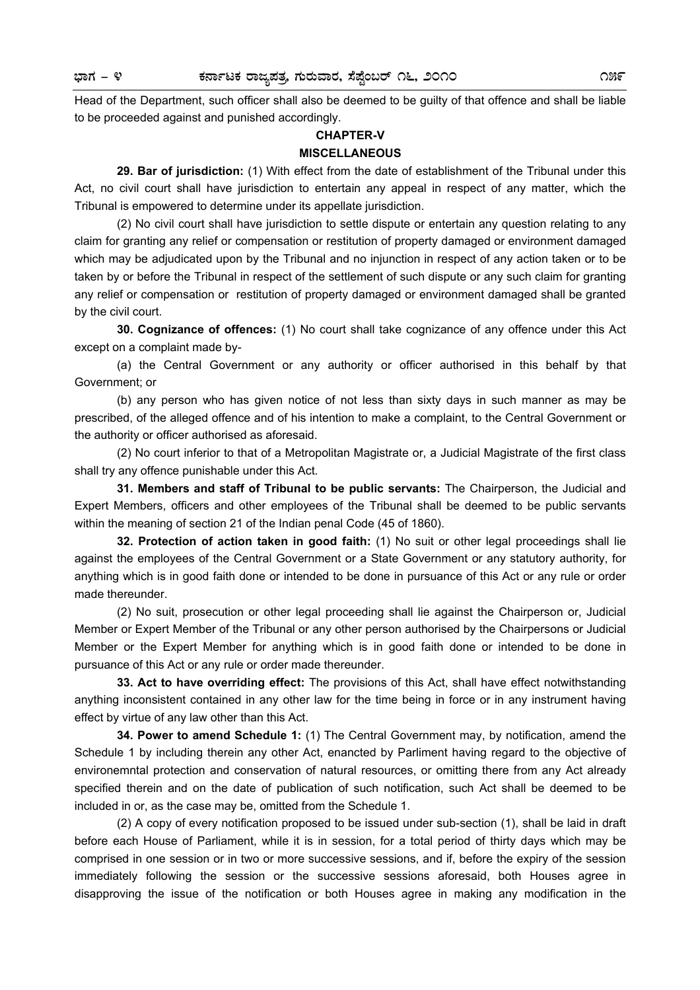Head of the Department, such officer shall also be deemed to be guilty of that offence and shall be liable to be proceeded against and punished accordingly.

# **CHAPTER-V MISCELLANEOUS**

 **29. Bar of jurisdiction:** (1) With effect from the date of establishment of the Tribunal under this Act, no civil court shall have jurisdiction to entertain any appeal in respect of any matter, which the Tribunal is empowered to determine under its appellate jurisdiction.

 (2) No civil court shall have jurisdiction to settle dispute or entertain any question relating to any claim for granting any relief or compensation or restitution of property damaged or environment damaged which may be adjudicated upon by the Tribunal and no injunction in respect of any action taken or to be taken by or before the Tribunal in respect of the settlement of such dispute or any such claim for granting any relief or compensation or restitution of property damaged or environment damaged shall be granted by the civil court.

**30. Cognizance of offences:** (1) No court shall take cognizance of any offence under this Act except on a complaint made by-

 (a) the Central Government or any authority or officer authorised in this behalf by that Government; or

 (b) any person who has given notice of not less than sixty days in such manner as may be prescribed, of the alleged offence and of his intention to make a complaint, to the Central Government or the authority or officer authorised as aforesaid.

 (2) No court inferior to that of a Metropolitan Magistrate or, a Judicial Magistrate of the first class shall try any offence punishable under this Act.

**31. Members and staff of Tribunal to be public servants:** The Chairperson, the Judicial and Expert Members, officers and other employees of the Tribunal shall be deemed to be public servants within the meaning of section 21 of the Indian penal Code (45 of 1860).

**32. Protection of action taken in good faith:** (1) No suit or other legal proceedings shall lie against the employees of the Central Government or a State Government or any statutory authority, for anything which is in good faith done or intended to be done in pursuance of this Act or any rule or order made thereunder.

 (2) No suit, prosecution or other legal proceeding shall lie against the Chairperson or, Judicial Member or Expert Member of the Tribunal or any other person authorised by the Chairpersons or Judicial Member or the Expert Member for anything which is in good faith done or intended to be done in pursuance of this Act or any rule or order made thereunder.

**33. Act to have overriding effect:** The provisions of this Act, shall have effect notwithstanding anything inconsistent contained in any other law for the time being in force or in any instrument having effect by virtue of any law other than this Act.

**34. Power to amend Schedule 1:** (1) The Central Government may, by notification, amend the Schedule 1 by including therein any other Act, enancted by Parliment having regard to the objective of environemntal protection and conservation of natural resources, or omitting there from any Act already specified therein and on the date of publication of such notification, such Act shall be deemed to be included in or, as the case may be, omitted from the Schedule 1.

 (2) A copy of every notification proposed to be issued under sub-section (1), shall be laid in draft before each House of Parliament, while it is in session, for a total period of thirty days which may be comprised in one session or in two or more successive sessions, and if, before the expiry of the session immediately following the session or the successive sessions aforesaid, both Houses agree in disapproving the issue of the notification or both Houses agree in making any modification in the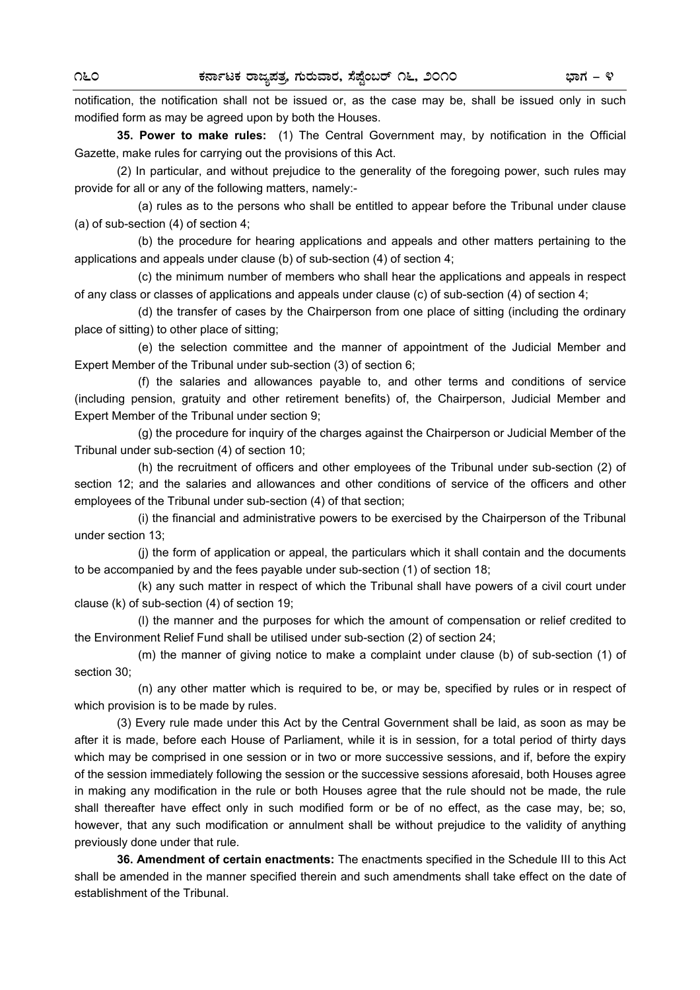notification, the notification shall not be issued or, as the case may be, shall be issued only in such modified form as may be agreed upon by both the Houses.

**35. Power to make rules:** (1) The Central Government may, by notification in the Official Gazette, make rules for carrying out the provisions of this Act.

 (2) In particular, and without prejudice to the generality of the foregoing power, such rules may provide for all or any of the following matters, namely:-

 (a) rules as to the persons who shall be entitled to appear before the Tribunal under clause (a) of sub-section (4) of section 4;

 (b) the procedure for hearing applications and appeals and other matters pertaining to the applications and appeals under clause (b) of sub-section (4) of section 4;

 (c) the minimum number of members who shall hear the applications and appeals in respect of any class or classes of applications and appeals under clause (c) of sub-section (4) of section 4;

 (d) the transfer of cases by the Chairperson from one place of sitting (including the ordinary place of sitting) to other place of sitting;

 (e) the selection committee and the manner of appointment of the Judicial Member and Expert Member of the Tribunal under sub-section (3) of section 6;

 (f) the salaries and allowances payable to, and other terms and conditions of service (including pension, gratuity and other retirement benefits) of, the Chairperson, Judicial Member and Expert Member of the Tribunal under section 9;

 (g) the procedure for inquiry of the charges against the Chairperson or Judicial Member of the Tribunal under sub-section (4) of section 10;

 (h) the recruitment of officers and other employees of the Tribunal under sub-section (2) of section 12; and the salaries and allowances and other conditions of service of the officers and other employees of the Tribunal under sub-section (4) of that section;

 (i) the financial and administrative powers to be exercised by the Chairperson of the Tribunal under section 13;

 (j) the form of application or appeal, the particulars which it shall contain and the documents to be accompanied by and the fees payable under sub-section (1) of section 18;

 (k) any such matter in respect of which the Tribunal shall have powers of a civil court under clause (k) of sub-section (4) of section 19;

 (l) the manner and the purposes for which the amount of compensation or relief credited to the Environment Relief Fund shall be utilised under sub-section (2) of section 24;

 (m) the manner of giving notice to make a complaint under clause (b) of sub-section (1) of section 30;

 (n) any other matter which is required to be, or may be, specified by rules or in respect of which provision is to be made by rules.

 (3) Every rule made under this Act by the Central Government shall be laid, as soon as may be after it is made, before each House of Parliament, while it is in session, for a total period of thirty days which may be comprised in one session or in two or more successive sessions, and if, before the expiry of the session immediately following the session or the successive sessions aforesaid, both Houses agree in making any modification in the rule or both Houses agree that the rule should not be made, the rule shall thereafter have effect only in such modified form or be of no effect, as the case may, be; so, however, that any such modification or annulment shall be without prejudice to the validity of anything previously done under that rule.

**36. Amendment of certain enactments:** The enactments specified in the Schedule III to this Act shall be amended in the manner specified therein and such amendments shall take effect on the date of establishment of the Tribunal.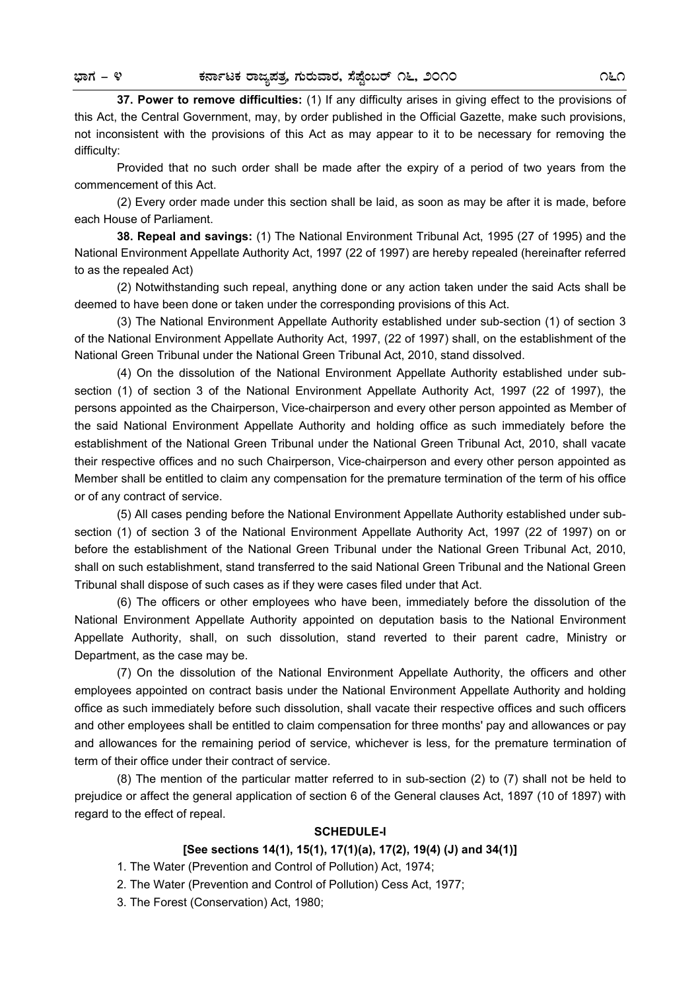**37. Power to remove difficulties:** (1) If any difficulty arises in giving effect to the provisions of this Act, the Central Government, may, by order published in the Official Gazette, make such provisions, not inconsistent with the provisions of this Act as may appear to it to be necessary for removing the difficulty:

 Provided that no such order shall be made after the expiry of a period of two years from the commencement of this Act.

 (2) Every order made under this section shall be laid, as soon as may be after it is made, before each House of Parliament.

**38. Repeal and savings:** (1) The National Environment Tribunal Act, 1995 (27 of 1995) and the National Environment Appellate Authority Act, 1997 (22 of 1997) are hereby repealed (hereinafter referred to as the repealed Act)

 (2) Notwithstanding such repeal, anything done or any action taken under the said Acts shall be deemed to have been done or taken under the corresponding provisions of this Act.

 (3) The National Environment Appellate Authority established under sub-section (1) of section 3 of the National Environment Appellate Authority Act, 1997, (22 of 1997) shall, on the establishment of the National Green Tribunal under the National Green Tribunal Act, 2010, stand dissolved.

 (4) On the dissolution of the National Environment Appellate Authority established under subsection (1) of section 3 of the National Environment Appellate Authority Act, 1997 (22 of 1997), the persons appointed as the Chairperson, Vice-chairperson and every other person appointed as Member of the said National Environment Appellate Authority and holding office as such immediately before the establishment of the National Green Tribunal under the National Green Tribunal Act, 2010, shall vacate their respective offices and no such Chairperson, Vice-chairperson and every other person appointed as Member shall be entitled to claim any compensation for the premature termination of the term of his office or of any contract of service.

 (5) All cases pending before the National Environment Appellate Authority established under subsection (1) of section 3 of the National Environment Appellate Authority Act, 1997 (22 of 1997) on or before the establishment of the National Green Tribunal under the National Green Tribunal Act, 2010, shall on such establishment, stand transferred to the said National Green Tribunal and the National Green Tribunal shall dispose of such cases as if they were cases filed under that Act.

 (6) The officers or other employees who have been, immediately before the dissolution of the National Environment Appellate Authority appointed on deputation basis to the National Environment Appellate Authority, shall, on such dissolution, stand reverted to their parent cadre, Ministry or Department, as the case may be.

 (7) On the dissolution of the National Environment Appellate Authority, the officers and other employees appointed on contract basis under the National Environment Appellate Authority and holding office as such immediately before such dissolution, shall vacate their respective offices and such officers and other employees shall be entitled to claim compensation for three months' pay and allowances or pay and allowances for the remaining period of service, whichever is less, for the premature termination of term of their office under their contract of service.

 (8) The mention of the particular matter referred to in sub-section (2) to (7) shall not be held to prejudice or affect the general application of section 6 of the General clauses Act, 1897 (10 of 1897) with regard to the effect of repeal.

#### **SCHEDULE-I**

## **[See sections 14(1), 15(1), 17(1)(a), 17(2), 19(4) (J) and 34(1)]**

1. The Water (Prevention and Control of Pollution) Act, 1974;

2. The Water (Prevention and Control of Pollution) Cess Act, 1977;

3. The Forest (Conservation) Act, 1980;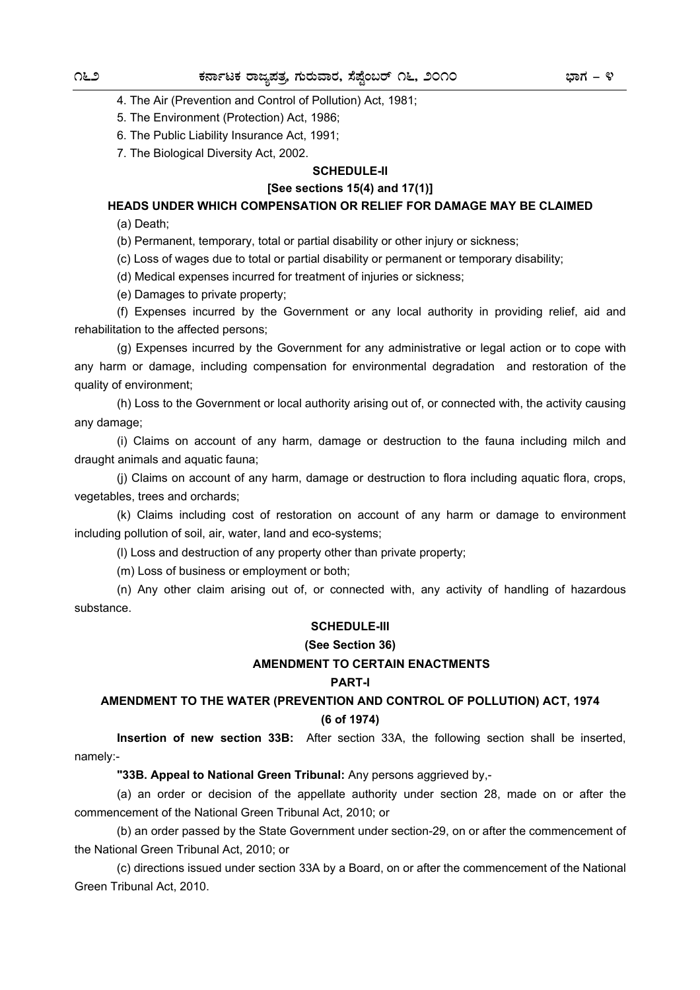4. The Air (Prevention and Control of Pollution) Act, 1981;

5. The Environment (Protection) Act, 1986;

6. The Public Liability Insurance Act, 1991;

7. The Biological Diversity Act, 2002.

## **SCHEDULE-II**

#### **[See sections 15(4) and 17(1)]**

**HEADS UNDER WHICH COMPENSATION OR RELIEF FOR DAMAGE MAY BE CLAIMED** 

(a) Death;

(b) Permanent, temporary, total or partial disability or other injury or sickness;

(c) Loss of wages due to total or partial disability or permanent or temporary disability;

(d) Medical expenses incurred for treatment of injuries or sickness;

(e) Damages to private property;

 (f) Expenses incurred by the Government or any local authority in providing relief, aid and rehabilitation to the affected persons;

 (g) Expenses incurred by the Government for any administrative or legal action or to cope with any harm or damage, including compensation for environmental degradation and restoration of the quality of environment;

 (h) Loss to the Government or local authority arising out of, or connected with, the activity causing any damage;

 (i) Claims on account of any harm, damage or destruction to the fauna including milch and draught animals and aquatic fauna;

 (j) Claims on account of any harm, damage or destruction to flora including aquatic flora, crops, vegetables, trees and orchards;

 (k) Claims including cost of restoration on account of any harm or damage to environment including pollution of soil, air, water, land and eco-systems;

(l) Loss and destruction of any property other than private property;

(m) Loss of business or employment or both;

 (n) Any other claim arising out of, or connected with, any activity of handling of hazardous substance.

## **SCHEDULE-III**

#### **(See Section 36)**

## **AMENDMENT TO CERTAIN ENACTMENTS**

#### **PART-I**

# **AMENDMENT TO THE WATER (PREVENTION AND CONTROL OF POLLUTION) ACT, 1974**

#### **(6 of 1974)**

 **Insertion of new section 33B:** After section 33A, the following section shall be inserted, namely:-

**"33B. Appeal to National Green Tribunal:** Any persons aggrieved by,-

 (a) an order or decision of the appellate authority under section 28, made on or after the commencement of the National Green Tribunal Act, 2010; or

 (b) an order passed by the State Government under section-29, on or after the commencement of the National Green Tribunal Act, 2010; or

 (c) directions issued under section 33A by a Board, on or after the commencement of the National Green Tribunal Act, 2010.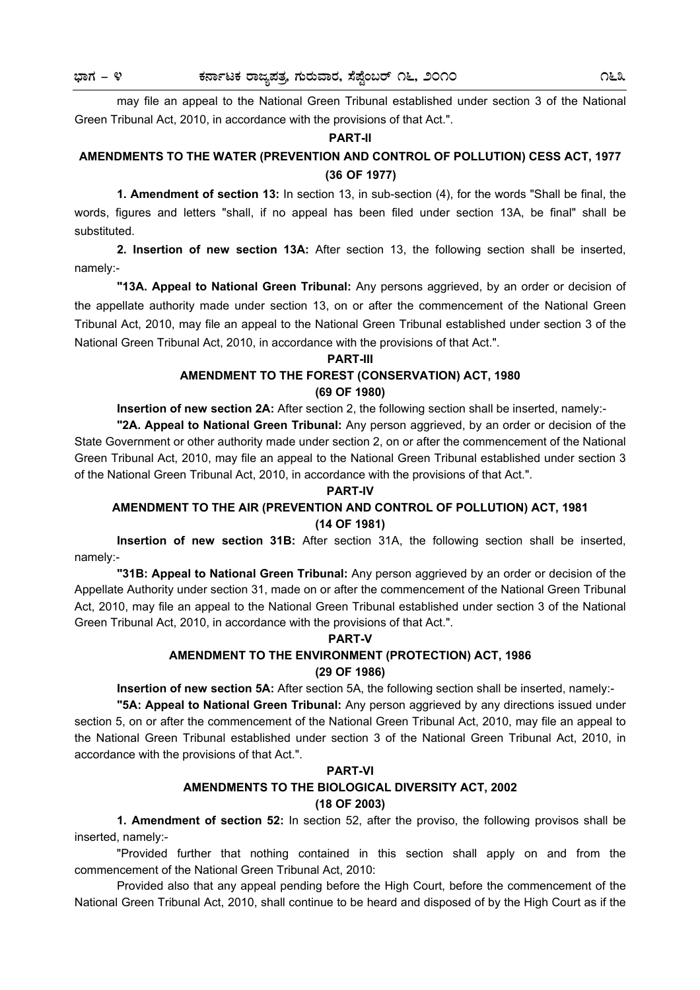may file an appeal to the National Green Tribunal established under section 3 of the National Green Tribunal Act, 2010, in accordance with the provisions of that Act.".

#### **PART-II**

# **AMENDMENTS TO THE WATER (PREVENTION AND CONTROL OF POLLUTION) CESS ACT, 1977 (36 OF 1977)**

 **1. Amendment of section 13:** In section 13, in sub-section (4), for the words "Shall be final, the words, figures and letters "shall, if no appeal has been filed under section 13A, be final" shall be substituted.

**2. Insertion of new section 13A:** After section 13, the following section shall be inserted, namely:-

**"13A. Appeal to National Green Tribunal:** Any persons aggrieved, by an order or decision of the appellate authority made under section 13, on or after the commencement of the National Green Tribunal Act, 2010, may file an appeal to the National Green Tribunal established under section 3 of the National Green Tribunal Act, 2010, in accordance with the provisions of that Act.".

#### **PART-III**

# **AMENDMENT TO THE FOREST (CONSERVATION) ACT, 1980**

# **(69 OF 1980)**

**Insertion of new section 2A:** After section 2, the following section shall be inserted, namely:-

**"2A. Appeal to National Green Tribunal:** Any person aggrieved, by an order or decision of the State Government or other authority made under section 2, on or after the commencement of the National Green Tribunal Act, 2010, may file an appeal to the National Green Tribunal established under section 3 of the National Green Tribunal Act, 2010, in accordance with the provisions of that Act.".

#### **PART-IV**

## **AMENDMENT TO THE AIR (PREVENTION AND CONTROL OF POLLUTION) ACT, 1981 (14 OF 1981)**

 **Insertion of new section 31B:** After section 31A, the following section shall be inserted, namely:-

**"31B: Appeal to National Green Tribunal:** Any person aggrieved by an order or decision of the Appellate Authority under section 31, made on or after the commencement of the National Green Tribunal Act, 2010, may file an appeal to the National Green Tribunal established under section 3 of the National Green Tribunal Act, 2010, in accordance with the provisions of that Act.".

#### **PART-V**

#### **AMENDMENT TO THE ENVIRONMENT (PROTECTION) ACT, 1986 (29 OF 1986)**

**Insertion of new section 5A:** After section 5A, the following section shall be inserted, namely:-

**"5A: Appeal to National Green Tribunal:** Any person aggrieved by any directions issued under section 5, on or after the commencement of the National Green Tribunal Act, 2010, may file an appeal to the National Green Tribunal established under section 3 of the National Green Tribunal Act, 2010, in accordance with the provisions of that Act.".

#### **PART-VI**

# **AMENDMENTS TO THE BIOLOGICAL DIVERSITY ACT, 2002**

## **(18 OF 2003)**

 **1. Amendment of section 52:** In section 52, after the proviso, the following provisos shall be inserted, namely:-

 "Provided further that nothing contained in this section shall apply on and from the commencement of the National Green Tribunal Act, 2010:

 Provided also that any appeal pending before the High Court, before the commencement of the National Green Tribunal Act, 2010, shall continue to be heard and disposed of by the High Court as if the